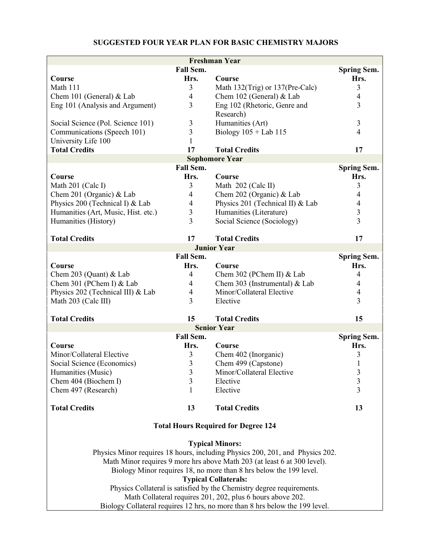## **SUGGESTED FOUR YEAR PLAN FOR BASIC CHEMISTRY MAJORS**

| <b>Freshman Year</b>                                                          |                          |                                  |                    |  |  |
|-------------------------------------------------------------------------------|--------------------------|----------------------------------|--------------------|--|--|
|                                                                               | Fall Sem.                |                                  | <b>Spring Sem.</b> |  |  |
| Course                                                                        | Hrs.                     | Course                           | Hrs.               |  |  |
| Math 111                                                                      | 3                        | Math 132(Trig) or 137(Pre-Calc)  | 3                  |  |  |
| Chem 101 (General) & Lab                                                      | 4                        | Chem 102 (General) & Lab         | 4                  |  |  |
| Eng 101 (Analysis and Argument)                                               | 3                        | Eng 102 (Rhetoric, Genre and     | 3                  |  |  |
|                                                                               |                          | Research)                        |                    |  |  |
| Social Science (Pol. Science 101)                                             | 3                        | Humanities (Art)                 | 3                  |  |  |
| Communications (Speech 101)                                                   | 3                        | Biology $105 +$ Lab $115$        | $\overline{4}$     |  |  |
| University Life 100                                                           | 1                        |                                  |                    |  |  |
| <b>Total Credits</b>                                                          | 17                       | <b>Total Credits</b>             | 17                 |  |  |
|                                                                               |                          | <b>Sophomore Year</b>            |                    |  |  |
|                                                                               | Fall Sem.                |                                  | <b>Spring Sem.</b> |  |  |
| Course                                                                        | Hrs.                     | Course                           | Hrs.               |  |  |
| Math 201 (Calc I)                                                             | 3                        | Math 202 (Calc II)               | 3                  |  |  |
| Chem 201 (Organic) & Lab                                                      | $\overline{4}$           | Chem 202 (Organic) & Lab         | 4                  |  |  |
| Physics 200 (Technical I) & Lab                                               | $\overline{4}$           | Physics 201 (Technical II) & Lab | $\overline{4}$     |  |  |
| Humanities (Art, Music, Hist. etc.)                                           | 3                        | Humanities (Literature)          | 3                  |  |  |
| Humanities (History)                                                          | $\overline{3}$           | Social Science (Sociology)       | $\overline{3}$     |  |  |
|                                                                               |                          |                                  |                    |  |  |
| <b>Total Credits</b>                                                          | 17                       | <b>Total Credits</b>             | 17                 |  |  |
|                                                                               |                          | <b>Junior Year</b>               |                    |  |  |
|                                                                               | Fall Sem.                |                                  | <b>Spring Sem.</b> |  |  |
| Course                                                                        | Hrs.                     | Course                           | Hrs.               |  |  |
| Chem 203 (Quant) $&$ Lab                                                      | $\overline{4}$           | Chem 302 (PChem II) & Lab        | $\overline{4}$     |  |  |
| Chem 301 (PChem I) & Lab                                                      | $\overline{\mathcal{A}}$ | Chem 303 (Instrumental) & Lab    | 4                  |  |  |
| Physics 202 (Technical III) & Lab                                             | 4                        | Minor/Collateral Elective        | $\overline{4}$     |  |  |
| Math 203 (Calc III)                                                           | $\overline{3}$           | Elective                         | 3                  |  |  |
|                                                                               |                          |                                  |                    |  |  |
| <b>Total Credits</b>                                                          | 15                       | <b>Total Credits</b>             | 15                 |  |  |
|                                                                               |                          | <b>Senior Year</b>               |                    |  |  |
|                                                                               | Fall Sem.                |                                  | <b>Spring Sem.</b> |  |  |
| <b>Course</b>                                                                 | Hrs.                     | Course                           | Hrs.               |  |  |
| Minor/Collateral Elective                                                     | 3                        | Chem 402 (Inorganic)             | 3                  |  |  |
| Social Science (Economics)                                                    | 3                        | Chem 499 (Capstone)              | 1                  |  |  |
| Humanities (Music)                                                            | $\mathfrak{Z}$           | Minor/Collateral Elective        | $\mathfrak{Z}$     |  |  |
| Chem 404 (Biochem I)                                                          | 3                        | Elective                         | $\mathfrak{Z}$     |  |  |
| Chem 497 (Research)                                                           | $\mathbf{1}$             | Elective                         | 3                  |  |  |
|                                                                               |                          |                                  |                    |  |  |
| <b>Total Credits</b>                                                          | 13                       | <b>Total Credits</b>             | 13                 |  |  |
| <b>Total Hours Required for Degree 124</b>                                    |                          |                                  |                    |  |  |
|                                                                               |                          |                                  |                    |  |  |
|                                                                               |                          | <b>Typical Minors:</b>           |                    |  |  |
| Physics Minor requires 18 hours, including Physics 200, 201, and Physics 202. |                          |                                  |                    |  |  |
| Math Minor requires 9 more hrs above Math 203 (at least 6 at 300 level).      |                          |                                  |                    |  |  |
| Biology Minor requires 18, no more than 8 hrs below the 199 level.            |                          |                                  |                    |  |  |
| <b>Typical Collaterals:</b>                                                   |                          |                                  |                    |  |  |
| Physics Collateral is satisfied by the Chemistry degree requirements.         |                          |                                  |                    |  |  |
| Math Collateral requires 201, 202, plus 6 hours above 202.                    |                          |                                  |                    |  |  |
| Biology Collateral requires 12 hrs, no more than 8 hrs below the 199 level.   |                          |                                  |                    |  |  |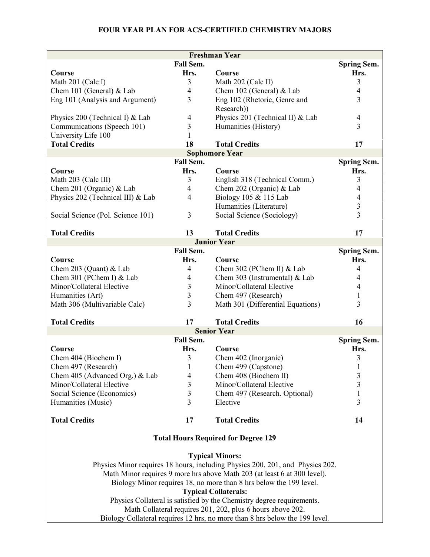|                                                                               | <b>Freshman Year</b> |                                   |                    |  |  |  |
|-------------------------------------------------------------------------------|----------------------|-----------------------------------|--------------------|--|--|--|
|                                                                               | Fall Sem.            |                                   | <b>Spring Sem.</b> |  |  |  |
| Course                                                                        | Hrs.                 | Course                            | Hrs.               |  |  |  |
| Math 201 (Calc I)                                                             | 3                    | Math 202 (Calc II)                | 3                  |  |  |  |
| Chem 101 (General) & Lab                                                      | $\overline{4}$       | Chem 102 (General) & Lab          | $\overline{4}$     |  |  |  |
| Eng 101 (Analysis and Argument)                                               | 3                    | Eng 102 (Rhetoric, Genre and      | 3                  |  |  |  |
|                                                                               |                      | Research))                        |                    |  |  |  |
| Physics 200 (Technical I) & Lab                                               | $\overline{4}$       | Physics 201 (Technical II) & Lab  | $\overline{4}$     |  |  |  |
| Communications (Speech 101)                                                   | 3                    | Humanities (History)              | 3                  |  |  |  |
| University Life 100                                                           | 1                    |                                   |                    |  |  |  |
| <b>Total Credits</b>                                                          | 18                   | <b>Total Credits</b>              | 17                 |  |  |  |
| <b>Sophomore Year</b>                                                         |                      |                                   |                    |  |  |  |
|                                                                               | Fall Sem.            |                                   | <b>Spring Sem.</b> |  |  |  |
| Course                                                                        | Hrs.                 | Course                            | Hrs.               |  |  |  |
| Math 203 (Calc III)                                                           | 3                    | English 318 (Technical Comm.)     | 3                  |  |  |  |
| Chem 201 (Organic) & Lab                                                      | $\overline{4}$       | Chem 202 (Organic) & Lab          | 4                  |  |  |  |
| Physics 202 (Technical III) & Lab                                             | $\overline{4}$       | Biology 105 & 115 Lab             | $\overline{4}$     |  |  |  |
|                                                                               |                      | Humanities (Literature)           | $\overline{3}$     |  |  |  |
| Social Science (Pol. Science 101)                                             | $\mathfrak{Z}$       | Social Science (Sociology)        | $\overline{3}$     |  |  |  |
|                                                                               |                      |                                   |                    |  |  |  |
| <b>Total Credits</b>                                                          | 13                   | <b>Total Credits</b>              | 17                 |  |  |  |
|                                                                               |                      | <b>Junior Year</b>                |                    |  |  |  |
|                                                                               | Fall Sem.            |                                   | <b>Spring Sem.</b> |  |  |  |
| Course                                                                        | Hrs.                 | Course                            | Hrs.               |  |  |  |
| Chem 203 (Quant) & Lab                                                        | $\overline{4}$       | Chem 302 (PChem II) & Lab         | $\overline{4}$     |  |  |  |
| Chem 301 (PChem I) & Lab                                                      | $\overline{4}$       | Chem 303 (Instrumental) & Lab     | 4                  |  |  |  |
| Minor/Collateral Elective                                                     | 3<br>$\overline{3}$  | Minor/Collateral Elective         | $\overline{4}$     |  |  |  |
| Humanities (Art)                                                              | $\overline{3}$       | Chem 497 (Research)               | 1                  |  |  |  |
| Math 306 (Multivariable Calc)                                                 |                      | Math 301 (Differential Equations) | 3                  |  |  |  |
| <b>Total Credits</b>                                                          | 17                   | <b>Total Credits</b>              | 16                 |  |  |  |
|                                                                               |                      | <b>Senior Year</b>                |                    |  |  |  |
|                                                                               | Fall Sem.            |                                   | <b>Spring Sem.</b> |  |  |  |
| Course                                                                        | Hrs.                 | Course                            | Hrs.               |  |  |  |
| Chem 404 (Biochem I)                                                          | 3                    | Chem 402 (Inorganic)              | 3                  |  |  |  |
| Chem 497 (Research)                                                           | $\mathbf{1}$         | Chem 499 (Capstone)               | $\mathbf{1}$       |  |  |  |
| Chem 405 (Advanced Org.) & Lab                                                | $\overline{4}$       | Chem 408 (Biochem II)             | 3                  |  |  |  |
| Minor/Collateral Elective                                                     | 3                    | Minor/Collateral Elective         | 3                  |  |  |  |
| Social Science (Economics)                                                    | 3                    | Chem 497 (Research. Optional)     | $\mathbf{1}$       |  |  |  |
| Humanities (Music)                                                            | $\overline{3}$       | Elective                          | 3                  |  |  |  |
|                                                                               |                      |                                   |                    |  |  |  |
| <b>Total Credits</b>                                                          | 17                   | <b>Total Credits</b>              | 14                 |  |  |  |
| <b>Total Hours Required for Degree 129</b>                                    |                      |                                   |                    |  |  |  |
|                                                                               |                      | <b>Typical Minors:</b>            |                    |  |  |  |
| Physics Minor requires 18 hours, including Physics 200, 201, and Physics 202. |                      |                                   |                    |  |  |  |
| Math Minor requires 9 more hrs above Math 203 (at least 6 at 300 level).      |                      |                                   |                    |  |  |  |
| Biology Minor requires 18, no more than 8 hrs below the 199 level.            |                      |                                   |                    |  |  |  |
| <b>Typical Collaterals:</b>                                                   |                      |                                   |                    |  |  |  |
| Physics Collateral is satisfied by the Chemistry degree requirements.         |                      |                                   |                    |  |  |  |
| Math Collateral requires 201, 202, plus 6 hours above 202.                    |                      |                                   |                    |  |  |  |
| Biology Collateral requires 12 hrs, no more than 8 hrs below the 199 level.   |                      |                                   |                    |  |  |  |